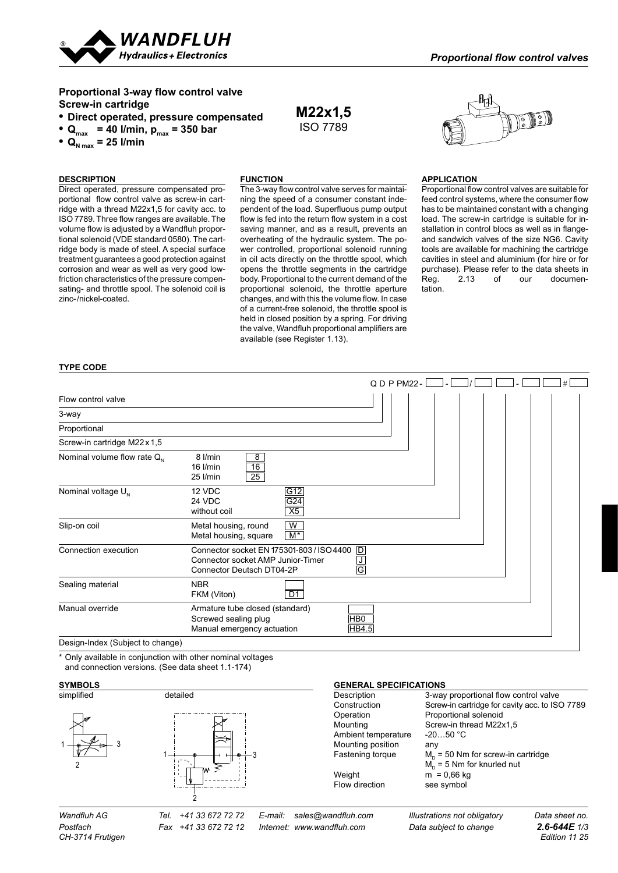

# **Proportional 3-way flow control valve Screw-in cartridge**

# **• Direct operated, pressure compensated**

•  $Q_{\text{max}}$  = 40 l/min,  $p_{\text{max}}$  = 350 bar

•  $Q_{N \max}$  = 25 l/min

# **DESCRIPTION**

#### **Function**

Direct operated, pressure compensated proportional flow control valve as screw-in cartridge with a thread M22x1,5 for cavity acc. to ISO 7789. Three flow ranges are available. The volume flow is adjusted by a Wandfluh proportional solenoid (VDE standard 0580). The cartridge body is made of steel. A special surface treatment guarantees a good protection against corrosion and wear as well as very good lowfriction characteristics of the pressure compensating- and throttle spool. The solenoid coil is zinc-/nickel-coated.

The 3-way flow control valve serves for maintaining the speed of a consumer constant independent of the load. Superfluous pump output flow is fed into the return flow system in a cost saving manner, and as a result, prevents an overheating of the hydraulic system. The power controlled, proportional solenoid running in oil acts directly on the throttle spool, which opens the throttle segments in the cartridge body. Proportional to the current demand of the proportional solenoid, the throttle aperture changes, and with this the volume flow. In case of a current-free solenoid, the throttle spool is held in closed position by a spring. For driving the valve, Wandfluh proportional amplifiers are available (see Register 1.13).

**M22x1,5** ISO 7789



#### **APPLICATION**

Proportional flow control valves are suitable for feed control systems, where the consumer flow has to be maintained constant with a changing load. The screw-in cartridge is suitable for installation in control blocs as well as in flangeand sandwich valves of the size NG6. Cavity tools are available for machining the cartridge cavities in steel and aluminium (for hire or for purchase). Please refer to the data sheets in<br>Reg. 2.13 of our documen-Reg. 2.13 of our documentation.

#### **type code**

|                                  |                                                                                                             |                                                     | QDPPM22- |  | # |
|----------------------------------|-------------------------------------------------------------------------------------------------------------|-----------------------------------------------------|----------|--|---|
| Flow control valve               |                                                                                                             |                                                     |          |  |   |
| 3-way                            |                                                                                                             |                                                     |          |  |   |
| Proportional                     |                                                                                                             |                                                     |          |  |   |
| Screw-in cartridge M22x1,5       |                                                                                                             |                                                     |          |  |   |
| Nominal volume flow rate $Q_{N}$ | $\overline{8}$<br>8 l/min<br>16<br>$16$ I/min<br>$\overline{25}$<br>25 I/min                                |                                                     |          |  |   |
| Nominal voltage $U_{N}$          | 12 VDC<br>24 VDC<br>without coil                                                                            | G12<br>G24<br>X5                                    |          |  |   |
| Slip-on coil                     | Metal housing, round<br>Metal housing, square                                                               | W<br>$M^*$                                          |          |  |   |
| Connection execution             | Connector socket EN 175301-803 / ISO 4400<br>Connector socket AMP Junior-Timer<br>Connector Deutsch DT04-2P | D<br><u>ਹ</u><br>$\overline{\overline{\mathsf{G}}}$ |          |  |   |
| Sealing material                 | <b>NBR</b><br>FKM (Viton)                                                                                   | $\overline{D1}$                                     |          |  |   |
| Manual override                  | Armature tube closed (standard)<br>Screwed sealing plug<br>Manual emergency actuation                       | $H$ BO<br><b>HB4.5</b>                              |          |  |   |
| Design-Index (Subject to change) |                                                                                                             |                                                     |          |  |   |

\* Only available in conjunction with other nominal voltages and connection versions. (See data sheet 1.1-174)

#### **Symbols**





# *CH-3714 Frutigen Edition 11 25*

*Postfach Fax +41 33 672 72 12 Internet: www.wandfluh.com Data subject to change 2.6-644E 1/3*

Mounting positi Fastening torq

#### **GENERAL SPECIFICATIONS** Description 3-way proportional flow control valve

| <b>DUSUINGUI</b>    | <b>U-Way proportional flow control valve</b>   |
|---------------------|------------------------------------------------|
| Construction        | Screw-in cartridge for cavity acc. to ISO 7789 |
| Operation           | Proportional solenoid                          |
| Mounting            | Screw-in thread M22x1,5                        |
| Ambient temperature | $-2050 °C$                                     |
| Mounting position   | any                                            |
| Fastening torque    | $M_{\odot}$ = 50 Nm for screw-in cartridge     |
|                     | $M_p = 5$ Nm for knurled nut                   |
| Weight              | $m = 0,66$ kg                                  |
| Flow direction      | see symbol                                     |
|                     |                                                |

*Wandfluh AG Tel. +41 33 672 72 72 E-mail: sales@wandfluh.com Illustrations not obligatory Data sheet no.*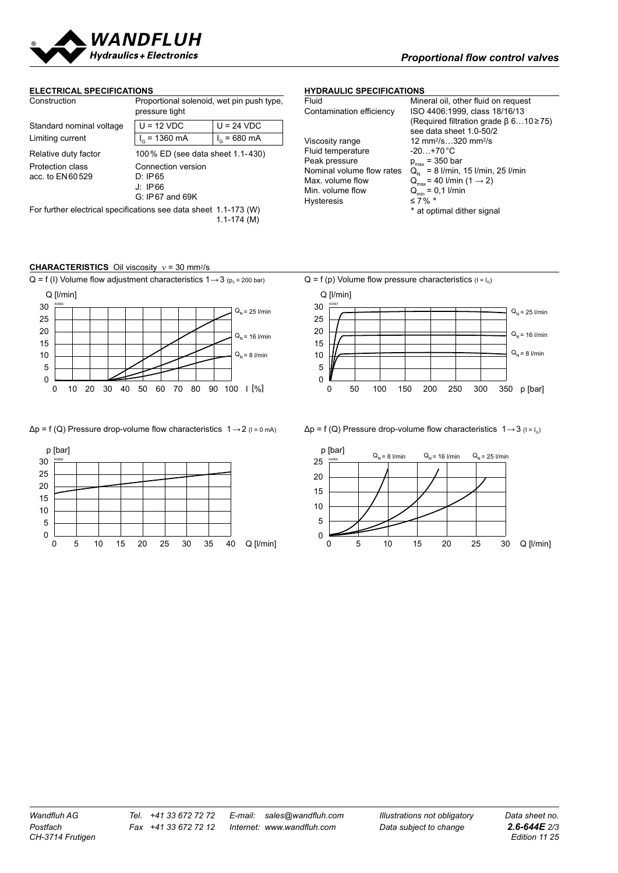

#### **ELECTRICAL SPECIFICATIONS**

| Construction                                                                        | Proportional solenoid, wet pin push type,<br>pressure tight     |                       |  |
|-------------------------------------------------------------------------------------|-----------------------------------------------------------------|-----------------------|--|
| Standard nominal voltage                                                            | $U = 12 VDC$                                                    | $U = 24 VDC$          |  |
| Limiting current                                                                    | $I_G$ = 1360 mA                                                 | $I_{\alpha}$ = 680 mA |  |
| Relative duty factor                                                                | 100 % ED (see data sheet 1.1-430)                               |                       |  |
| Protection class<br>acc. to EN60529                                                 | Connection version<br>D: IP65<br>J: IP66<br>$G: IP67$ and $69K$ |                       |  |
| For further electrical specifications see data sheet 1.1-173 (W)<br>$1.1 - 174$ (M) |                                                                 |                       |  |

### **HYDRAULIC SPECIFICATIONS**

| Fluid                     | Mineral oil, other fluid o                      |
|---------------------------|-------------------------------------------------|
| Contamination efficiency  | ISO 4406:1999, class 1                          |
|                           | (Required filtration grad                       |
|                           | see data sheet 1.0-50/                          |
| Viscosity range           | 12 mm <sup>2</sup> /s320 mm <sup>2</sup> /s     |
| Fluid temperature         | -20+70°C                                        |
| Peak pressure             | $p_{max}$ = 350 bar                             |
| Nominal volume flow rates | $Q_{N} = 8$ I/min, 15 I/min,                    |
| Max. volume flow          | $Q_{\text{max}}$ = 40 l/min (1 $\rightarrow$ 2) |
| Min. volume flow          | $Q_{\min} = 0.1$ I/min                          |
| <b>Hysteresis</b>         | ≤7% $*$                                         |
|                           | المرسوف والمراجع والمراجع ومسائله والمسارقة     |

# Fluid Mineral oil, other fluid on request<br>Contamination efficiency ISO 4406:1999, class 18/16/13 4406:1999, class 18/16/13 (uired filtration grade β 6...10 ≥75) data sheet  $1.0 - 50/2$ Nominal volume flow rates  $Q_N = 8$  l/min, 15 l/min, 25 l/min<br>Max volume flow  $Q = 40$  l/min (1  $\rightarrow$  2) at optimal dither signal

#### **CHARACTERISTICS** Oil viscosity  $ν = 30$  mm<sup>2</sup>/s





#### $\Delta p = f(Q)$  Pressure drop-volume flow characteristics  $1 \rightarrow 2$  ( $1 = 0$  mA)  $\Delta p = f(Q)$  Pressure drop-volume flow characteristics  $1 \rightarrow 3$  ( $1 = 1_0$ )